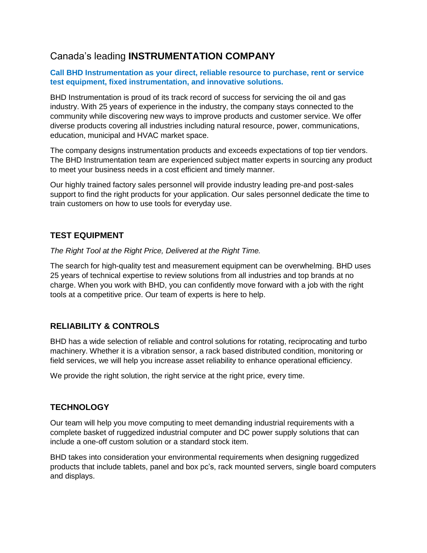# Canada's leading **INSTRUMENTATION COMPANY**

### **Call BHD Instrumentation as your direct, reliable resource to purchase, rent or service test equipment, fixed instrumentation, and innovative solutions.**

BHD Instrumentation is proud of its track record of success for servicing the oil and gas industry. With 25 years of experience in the industry, the company stays connected to the community while discovering new ways to improve products and customer service. We offer diverse products covering all industries including natural resource, power, communications, education, municipal and HVAC market space.

The company designs instrumentation products and exceeds expectations of top tier vendors. The BHD Instrumentation team are experienced subject matter experts in sourcing any product to meet your business needs in a cost efficient and timely manner.

Our highly trained factory sales personnel will provide industry leading pre-and post-sales support to find the right products for your application. Our sales personnel dedicate the time to train customers on how to use tools for everyday use.

## **TEST EQUIPMENT**

*The Right Tool at the Right Price, Delivered at the Right Time.*

The search for high-quality test and measurement equipment can be overwhelming. BHD uses 25 years of technical expertise to review solutions from all industries and top brands at no charge. When you work with BHD, you can confidently move forward with a job with the right tools at a competitive price. Our team of experts is here to help.

# **RELIABILITY & CONTROLS**

BHD has a wide selection of reliable and control solutions for rotating, reciprocating and turbo machinery. Whether it is a vibration sensor, a rack based distributed condition, monitoring or field services, we will help you increase asset reliability to enhance operational efficiency.

We provide the right solution, the right service at the right price, every time.

# **TECHNOLOGY**

Our team will help you move computing to meet demanding industrial requirements with a complete basket of ruggedized industrial computer and DC power supply solutions that can include a one-off custom solution or a standard stock item.

BHD takes into consideration your environmental requirements when designing ruggedized products that include tablets, panel and box pc's, rack mounted servers, single board computers and displays.